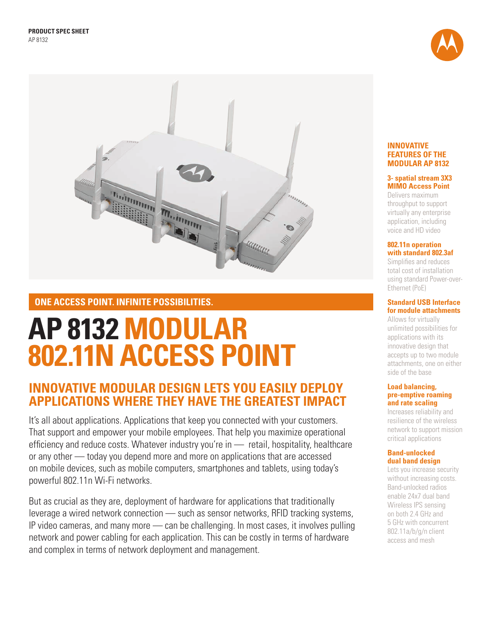



# **ONE ACCESS POINT. INFINITE POSSIBILITIES.**

# **AP 8132 MODULAR 802.11N ACCESS POINT**

# **INNOVATIVE MODULAR DESIGN LETS YOU EASILY DEPLOY APPLICATIONS WHERE THEY HAVE THE GREATEST IMPACT**

It's all about applications. Applications that keep you connected with your customers. That support and empower your mobile employees. That help you maximize operational efficiency and reduce costs. Whatever industry you're in — retail, hospitality, healthcare or any other — today you depend more and more on applications that are accessed on mobile devices, such as mobile computers, smartphones and tablets, using today's powerful 802.11n Wi-Fi networks.

But as crucial as they are, deployment of hardware for applications that traditionally leverage a wired network connection — such as sensor networks, RFID tracking systems, IP video cameras, and many more — can be challenging. In most cases, it involves pulling network and power cabling for each application. This can be costly in terms of hardware and complex in terms of network deployment and management.

#### **INNOVATIVE FEATURES OF THE MODULAR AP 8132**

## **3- spatial stream 3X3 MIMO Access Point**

Delivers maximum throughput to support virtually any enterprise application, including voice and HD video

#### **802.11n operation with standard 802.3af**

Simplifies and reduces total cost of installation using standard Power-over-Ethernet (PoE)

#### **Standard USB Interface for module attachments**

Allows for virtually unlimited possibilities for applications with its innovative design that accepts up to two module attachments, one on either side of the base

#### **Load balancing, pre-emptive roaming and rate scaling**

Increases reliability and resilience of the wireless network to support mission critical applications

### **Band-unlocked dual band design**

Lets you increase security without increasing costs. Band-unlocked radios enable 24x7 dual band Wireless IPS sensing on both 2.4 GHz and 5 GHz with concurrent 802.11a/b/g/n client access and mesh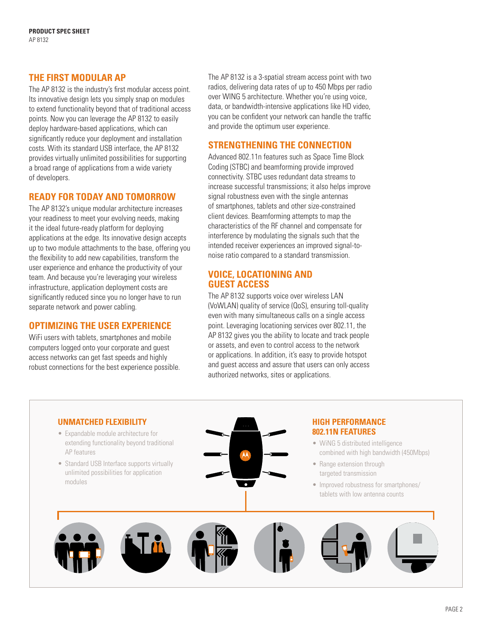# **THE FIRST MODULAR AP**

The AP 8132 is the industry's first modular access point. Its innovative design lets you simply snap on modules to extend functionality beyond that of traditional access points. Now you can leverage the AP 8132 to easily deploy hardware-based applications, which can significantly reduce your deployment and installation costs. With its standard USB interface, the AP 8132 provides virtually unlimited possibilities for supporting a broad range of applications from a wide variety of developers.

# **READY FOR TODAY AND TOMORROW**

The AP 8132's unique modular architecture increases your readiness to meet your evolving needs, making it the ideal future-ready platform for deploying applications at the edge. Its innovative design accepts up to two module attachments to the base, offering you the flexibility to add new capabilities, transform the user experience and enhance the productivity of your team. And because you're leveraging your wireless infrastructure, application deployment costs are significantly reduced since you no longer have to run separate network and power cabling.

# **OPTIMIZING THE USER EXPERIENCE**

WiFi users with tablets, smartphones and mobile computers logged onto your corporate and guest access networks can get fast speeds and highly robust connections for the best experience possible. The AP 8132 is a 3-spatial stream access point with two radios, delivering data rates of up to 450 Mbps per radio over WING 5 architecture. Whether you're using voice, data, or bandwidth-intensive applications like HD video, you can be confident your network can handle the traffic and provide the optimum user experience.

# **STRENGTHENING THE CONNECTION**

Advanced 802.11n features such as Space Time Block Coding (STBC) and beamforming provide improved connectivity. STBC uses redundant data streams to increase successful transmissions; it also helps improve signal robustness even with the single antennas of smartphones, tablets and other size-constrained client devices. Beamforming attempts to map the characteristics of the RF channel and compensate for interference by modulating the signals such that the intended receiver experiences an improved signal-tonoise ratio compared to a standard transmission.

# **VOICE, LOCATIONING AND GUEST ACCESS**

The AP 8132 supports voice over wireless LAN (VoWLAN) quality of service (QoS), ensuring toll-quality even with many simultaneous calls on a single access point. Leveraging locationing services over 802.11, the AP 8132 gives you the ability to locate and track people or assets, and even to control access to the network or applications. In addition, it's easy to provide hotspot and guest access and assure that users can only access authorized networks, sites or applications.

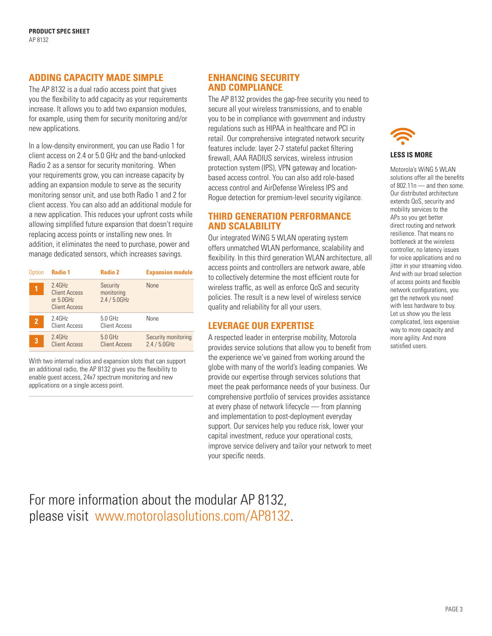# **ADDING CAPACITY MADE SIMPLE**

The AP 8132 is a dual radio access point that gives you the flexibility to add capacity as your requirements increase. It allows you to add two expansion modules, for example, using them for security monitoring and/or new applications.

In a low-density environment, you can use Radio 1 for client access on 2.4 or 5.0 GHz and the band-unlocked Radio 2 as a sensor for security monitoring. When your requirements grow, you can increase capacity by adding an expansion module to serve as the security monitoring sensor unit, and use both Radio 1 and 2 for client access. You can also add an additional module for a new application. This reduces your upfront costs while allowing simplified future expansion that doesn't require replacing access points or installing new ones. In addition, it eliminates the need to purchase, power and manage dedicated sensors, which increases savings.

| Option         | <b>Radio 1</b>                                                            | Radio 2                                   | <b>Expansion module</b>                |
|----------------|---------------------------------------------------------------------------|-------------------------------------------|----------------------------------------|
|                | $2.4$ GHz<br><b>Client Access</b><br>or $5.0$ GHz<br><b>Client Access</b> | Security<br>monitoring<br>$2.4 / 5.0$ GHz | <b>None</b>                            |
| $\overline{2}$ | $2.4$ GHz<br><b>Client Access</b>                                         | $5.0$ GHz<br>Client Access                | None                                   |
| 3              | 2.4GHz<br><b>Client Access</b>                                            | 5.0 GHz<br><b>Client Access</b>           | Security monitoring<br>$2.4 / 5.0$ GHz |

With two internal radios and expansion slots that can support an additional radio, the AP 8132 gives you the flexibility to enable guest access, 24x7 spectrum monitoring and new applications on a single access point.

# **ENHANCING SECURITY AND COMPLIANCE**

The AP 8132 provides the gap-free security you need to secure all your wireless transmissions, and to enable you to be in compliance with government and industry regulations such as HIPAA in healthcare and PCI in retail. Our comprehensive integrated network security features include: layer 2-7 stateful packet filtering firewall, AAA RADIUS services, wireless intrusion protection system (IPS), VPN gateway and locationbased access control. You can also add role-based access control and AirDefense Wireless IPS and Rogue detection for premium-level security vigilance.

# **THIRD GENERATION PERFORMANCE AND SCALABILITY**

Our integrated WiNG 5 WLAN operating system offers unmatched WLAN performance, scalability and flexibility. In this third generation WLAN architecture, all access points and controllers are network aware, able to collectively determine the most efficient route for wireless traffic, as well as enforce QoS and security policies. The result is a new level of wireless service quality and reliability for all your users.

# **LEVERAGE OUR EXPERTISE**

A respected leader in enterprise mobility, Motorola provides service solutions that allow you to benefit from the experience we've gained from working around the globe with many of the world's leading companies. We provide our expertise through services solutions that meet the peak performance needs of your business. Our comprehensive portfolio of services provides assistance at every phase of network lifecycle — from planning and implementation to post-deployment everyday support. Our services help you reduce risk, lower your capital investment, reduce your operational costs, improve service delivery and tailor your network to meet your specific needs.



#### **LESS IS MORE**

Motorola's WiNG 5 WLAN solutions offer all the benefits of 802.11n  $-$  and then some. Our distributed architecture extends QoS, security and mobility services to the APs so you get better direct routing and network resilience. That means no bottleneck at the wireless controller, no latency issues for voice applications and no jitter in your streaming video. And with our broad selection of access points and flexible network configurations, you get the network you need with less hardware to buy. Let us show you the less complicated, less expensive way to more capacity and more agility. And more satisfied users.

# [For more information about the modular AP 8132,](http://www.motorolasolutions.com/AP8132)  [please visit www.motorolasolutions.com/AP8132.](http://www.motorolasolutions.com/AP8132)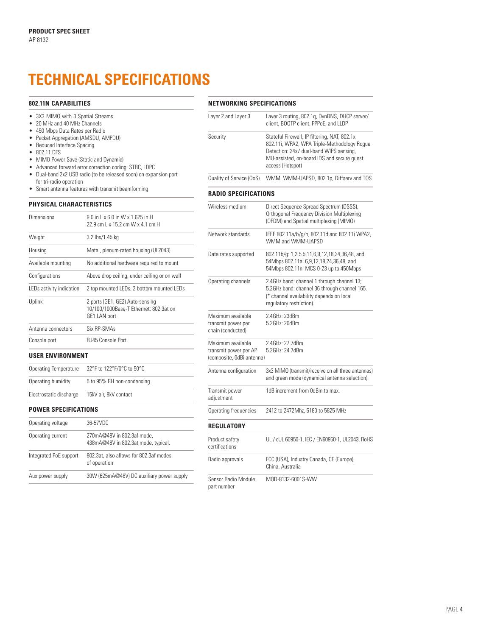# **TECHNICAL SPECIFICATIONS**

#### **802.11N CAPABILITIES**

- 3X3 MIMO with 3 Spatial Streams
- 20 MHz and 40 MHz Channels
- • 450 Mbps Data Rates per Radio
- Packet Aggregation (AMSDU, AMPDU)
- Reduced Interface Spacing
- • 802.11 DFS
- MIMO Power Save (Static and Dynamic)
- • Advanced forward error correction coding: STBC, LDPC
- • Dual-band 2x2 USB radio (to be released soon) on expansion port for tri-radio operation
- • Smart antenna features with transmit beamforming

#### **PHYSICAL CHARACTERISTICS**

| Dimensions               | 9.0 in L x 6.0 in W x 1.625 in H<br>22 9 cm L x 15 2 cm W x 4 1 cm H                      |  |
|--------------------------|-------------------------------------------------------------------------------------------|--|
| Weight                   | 3.2 lbs/1.45 kg                                                                           |  |
| Housing                  | Metal, plenum-rated housing (UL2043)                                                      |  |
| Available mounting       | No additional hardware required to mount                                                  |  |
| Configurations           | Above drop ceiling, under ceiling or on wall                                              |  |
| LEDs activity indication | 2 top mounted LEDs, 2 bottom mounted LEDs                                                 |  |
| Uplink                   | 2 ports (GE1, GE2) Auto-sensing<br>10/100/1000Base-T Ethernet; 802.3at on<br>GE1 LAN port |  |
| Antenna connectors       | Six RP-SMAs                                                                               |  |
| Console port             | RJ45 Console Port                                                                         |  |
| <b>USER ENVIRONMENT</b>  |                                                                                           |  |
| Operating Temperature    | 32°F to 122°F/0°C to 50°C                                                                 |  |

# Electrostatic discharge 15kV air, 8kV contact

Operating humidity 5 to 95% RH non-condensing

**POWER SPECIFICATIONS**

| Operating voltage      | 36-57VDC                                                          |
|------------------------|-------------------------------------------------------------------|
| Operating current      | 270mA@48V in 802.3af mode,<br>438mA@48V in 802.3at mode, typical. |
| Integrated PoE support | 802.3at, also allows for 802.3af modes<br>of operation            |
| Aux power supply       | 30W (625mA@48V) DC auxiliary power supply                         |

#### **NETWORKING SPECIFICATIONS**

| Layer 2 and Layer 3      | Layer 3 routing, 802.1g, DynDNS, DHCP server/<br>client, BOOTP client, PPPoE, and LLDP                                                                                                                    |
|--------------------------|-----------------------------------------------------------------------------------------------------------------------------------------------------------------------------------------------------------|
| Security                 | Stateful Firewall, IP filtering, NAT, 802.1x,<br>802.11i, WPA2, WPA Triple-Methodology Roque<br>Detection: 24x7 dual-band WIPS sensing,<br>MU-assisted, on-board IDS and secure quest<br>access (Hotspot) |
| Quality of Service (QoS) | WMM, WMM-UAPSD, 802.1p, Diffserv and TOS                                                                                                                                                                  |

#### **RADIO SPECIFICATIONS**

| Wireless medium                                                         | Direct Sequence Spread Spectrum (DSSS),<br>Orthogonal Frequency Division Multiplexing<br>(OFDM) and Spatial multiplexing (MIMO)                                    |  |
|-------------------------------------------------------------------------|--------------------------------------------------------------------------------------------------------------------------------------------------------------------|--|
| Network standards                                                       | IEEE 802.11a/b/g/n, 802.11d and 802.11i WPA2,<br>WMM and WMM-UAPSD                                                                                                 |  |
| Data rates supported                                                    | 802.11b/g: 1,2,5.5,11,6,9,12,18,24,36,48, and<br>54Mbps 802.11a: 6,9,12,18,24,36,48, and<br>54Mbps 802.11n: MCS 0-23 up to 450Mbps                                 |  |
| Operating channels                                                      | 2.4GHz band: channel 1 through channel 13;<br>5.2GHz band: channel 36 through channel 165.<br>(* channel availability depends on local<br>requlatory restriction). |  |
| Maximum available<br>transmit power per<br>chain (conducted)            | 2.4GHz: 23dBm<br>5.2GHz: 20dBm                                                                                                                                     |  |
| Maximum available<br>transmit power per AP<br>(composite, OdBi antenna) | 2.4GHz: 27.7dBm<br>5.2GHz: 24.7dBm                                                                                                                                 |  |
| Antenna configuration                                                   | 3x3 MIMO (transmit/receive on all three antennas)<br>and green mode (dynamical antenna selection).                                                                 |  |
| Transmit power<br>adjustment                                            | 1dB increment from 0dBm to max.                                                                                                                                    |  |
| Operating frequencies                                                   | 2412 to 2472Mhz, 5180 to 5825 MHz                                                                                                                                  |  |
| REGULATORY                                                              |                                                                                                                                                                    |  |
| Product safety<br>certifications                                        | UL / cUL 60950-1, IEC / EN60950-1, UL2043, RoHS                                                                                                                    |  |
| Radio approvals                                                         | FCC (USA), Industry Canada, CE (Europe),                                                                                                                           |  |

China, Australia

Sensor Radio Module MOD-8132-6001S-WW

part number